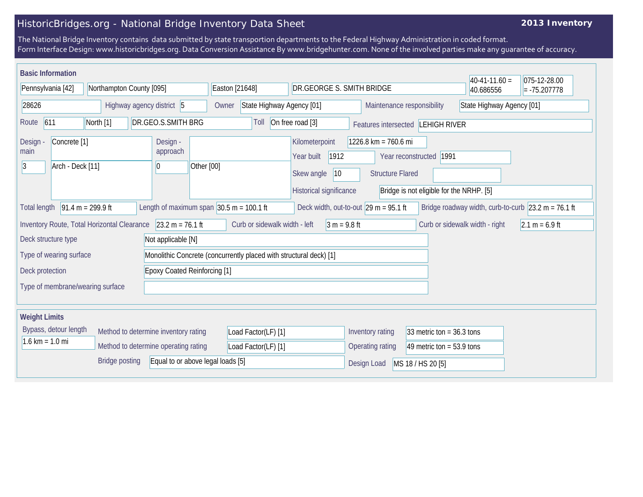## HistoricBridges.org - National Bridge Inventory Data Sheet

## **2013 Inventory**

The National Bridge Inventory contains data submitted by state transportion departments to the Federal Highway Administration in coded format. Form Interface Design: www.historicbridges.org. Data Conversion Assistance By www.bridgehunter.com. None of the involved parties make any guarantee of accuracy.

| <b>Basic Information</b><br>Pennsylvania [42]                                                                                                                                                                                                    |  |  |                                                                    |                                                                                               |                                                               |                |                                                         | DR.GEORGE S. SMITH BRIDGE                                                                                                |                                |                  |  | $40-41-11.60 =$<br>40.686556 | 075-12-28.00<br>$= -75.207778$ |
|--------------------------------------------------------------------------------------------------------------------------------------------------------------------------------------------------------------------------------------------------|--|--|--------------------------------------------------------------------|-----------------------------------------------------------------------------------------------|---------------------------------------------------------------|----------------|---------------------------------------------------------|--------------------------------------------------------------------------------------------------------------------------|--------------------------------|------------------|--|------------------------------|--------------------------------|
| Northampton County [095]<br>Highway agency district 5<br>28626                                                                                                                                                                                   |  |  | Easton [21648]<br>State Highway Agency [01]<br>Owner               |                                                                                               |                                                               |                | Maintenance responsibility<br>State Highway Agency [01] |                                                                                                                          |                                |                  |  |                              |                                |
| 611<br>North [1]<br>DR.GEO.S.SMITH BRG<br>Route                                                                                                                                                                                                  |  |  |                                                                    |                                                                                               | On free road [3]<br>Toll<br>Features intersected LEHIGH RIVER |                |                                                         |                                                                                                                          |                                |                  |  |                              |                                |
| Design -<br><b>Design</b><br>Concrete <sup>[1]</sup><br>approach<br>main<br> 3 <br>Arch - Deck [11]<br>10                                                                                                                                        |  |  | Other [00]                                                         | Kilometerpoint<br>Year built<br>1912<br>Skew angle<br>$ 10\rangle$<br>Historical significance |                                                               |                |                                                         | 1226.8 km = 760.6 mi<br>Year reconstructed   1991<br><b>Structure Flared</b><br>Bridge is not eligible for the NRHP. [5] |                                |                  |  |                              |                                |
| $91.4 m = 299.9 ft$<br>Length of maximum span $ 30.5 \text{ m} = 100.1 \text{ ft} $<br>Deck width, out-to-out $29 \text{ m} = 95.1 \text{ ft}$<br>Bridge roadway width, curb-to-curb $ 23.2 \text{ m} = 76.1 \text{ ft} $<br><b>Total length</b> |  |  |                                                                    |                                                                                               |                                                               |                |                                                         |                                                                                                                          |                                |                  |  |                              |                                |
| $23.2 m = 76.1 ft$<br>Inventory Route, Total Horizontal Clearance                                                                                                                                                                                |  |  | Curb or sidewalk width - left                                      |                                                                                               |                                                               | $3 m = 9.8 ft$ |                                                         |                                                                                                                          | Curb or sidewalk width - right | $2.1 m = 6.9 ft$ |  |                              |                                |
| Deck structure type<br>Not applicable [N]                                                                                                                                                                                                        |  |  |                                                                    |                                                                                               |                                                               |                |                                                         |                                                                                                                          |                                |                  |  |                              |                                |
| Type of wearing surface                                                                                                                                                                                                                          |  |  | Monolithic Concrete (concurrently placed with structural deck) [1] |                                                                                               |                                                               |                |                                                         |                                                                                                                          |                                |                  |  |                              |                                |
| <b>Epoxy Coated Reinforcing [1]</b><br>Deck protection                                                                                                                                                                                           |  |  |                                                                    |                                                                                               |                                                               |                |                                                         |                                                                                                                          |                                |                  |  |                              |                                |
| Type of membrane/wearing surface                                                                                                                                                                                                                 |  |  |                                                                    |                                                                                               |                                                               |                |                                                         |                                                                                                                          |                                |                  |  |                              |                                |
| <b>Weight Limits</b>                                                                                                                                                                                                                             |  |  |                                                                    |                                                                                               |                                                               |                |                                                         |                                                                                                                          |                                |                  |  |                              |                                |
| Bypass, detour length<br>Method to determine inventory rating                                                                                                                                                                                    |  |  |                                                                    |                                                                                               | Load Factor(LF) [1]                                           |                |                                                         | Inventory rating                                                                                                         | 33 metric ton = $36.3$ tons    |                  |  |                              |                                |
| $1.6 \text{ km} = 1.0 \text{ mi}$<br>Method to determine operating rating                                                                                                                                                                        |  |  |                                                                    | Load Factor(LF) [1]                                                                           |                                                               |                | Operating rating                                        | 49 metric ton = $53.9$ tons                                                                                              |                                |                  |  |                              |                                |
| <b>Bridge posting</b><br>Equal to or above legal loads [5]                                                                                                                                                                                       |  |  |                                                                    |                                                                                               |                                                               |                | Design Load<br>MS 18 / HS 20 [5]                        |                                                                                                                          |                                |                  |  |                              |                                |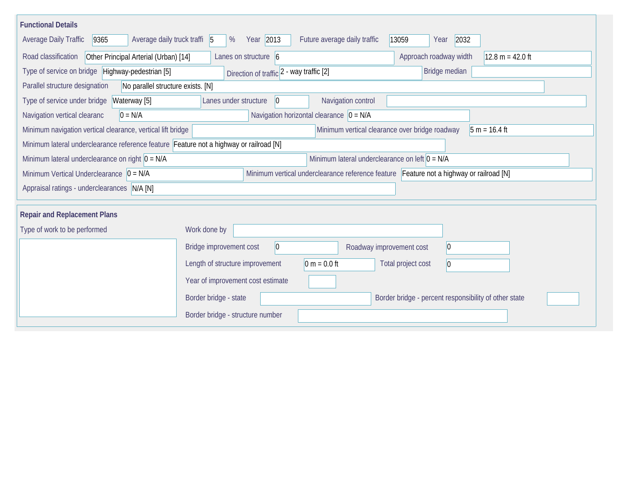| <b>Functional Details</b>                                                              |                                                                                         |  |
|----------------------------------------------------------------------------------------|-----------------------------------------------------------------------------------------|--|
| Average daily truck traffi 5<br><b>Average Daily Traffic</b><br>9365                   | Year 2013<br>Future average daily traffic<br>2032<br>%<br>13059<br>Year                 |  |
| Road classification<br>Other Principal Arterial (Urban) [14]                           | Approach roadway width<br>Lanes on structure $\vert 6 \vert$<br>$12.8 m = 42.0 ft$      |  |
| Type of service on bridge Highway-pedestrian [5]                                       | Bridge median<br>Direction of traffic 2 - way traffic [2]                               |  |
| Parallel structure designation<br>No parallel structure exists. [N]                    |                                                                                         |  |
| Type of service under bridge<br>Waterway [5]                                           | Navigation control<br>Lanes under structure<br>$ 0\rangle$                              |  |
| Navigation vertical clearanc<br>$0 = N/A$                                              | Navigation horizontal clearance $ 0 = N/A$                                              |  |
| Minimum navigation vertical clearance, vertical lift bridge                            | Minimum vertical clearance over bridge roadway<br>$5 m = 16.4 ft$                       |  |
| Minimum lateral underclearance reference feature Feature not a highway or railroad [N] |                                                                                         |  |
| Minimum lateral underclearance on right $0 = N/A$                                      | Minimum lateral underclearance on left $0 = N/A$                                        |  |
| Minimum Vertical Underclearance $\vert 0 = N/A \vert$                                  | Minimum vertical underclearance reference feature Feature not a highway or railroad [N] |  |
| Appraisal ratings - underclearances N/A [N]                                            |                                                                                         |  |
|                                                                                        |                                                                                         |  |
| <b>Repair and Replacement Plans</b>                                                    |                                                                                         |  |
| Type of work to be performed                                                           | Work done by                                                                            |  |
|                                                                                        | 0 <br>Bridge improvement cost<br>$ 0\rangle$<br>Roadway improvement cost                |  |
|                                                                                        | $0 m = 0.0 ft$<br>Length of structure improvement<br>Total project cost<br>$ 0\rangle$  |  |
|                                                                                        | Year of improvement cost estimate                                                       |  |
|                                                                                        | Border bridge - state<br>Border bridge - percent responsibility of other state          |  |
|                                                                                        | Border bridge - structure number                                                        |  |